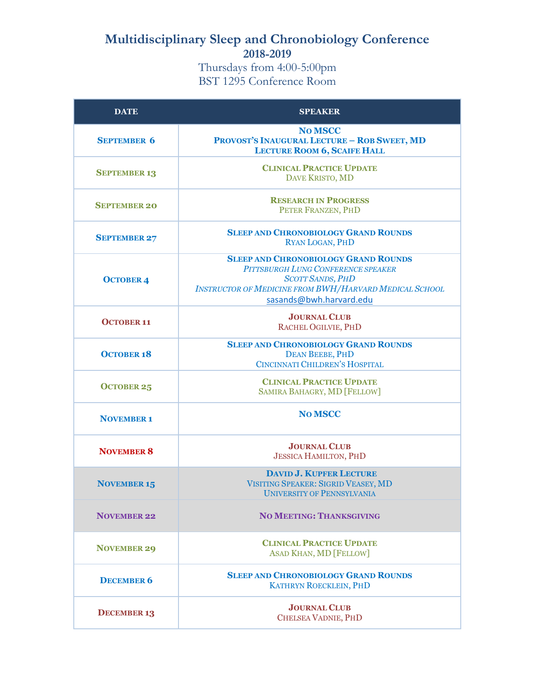## **Multidisciplinary Sleep and Chronobiology Conference 2018-2019**

Thursdays from 4:00-5:00pm BST 1295 Conference Room

| <b>DATE</b>         | <b>SPEAKER</b>                                                                                                                                                                                           |
|---------------------|----------------------------------------------------------------------------------------------------------------------------------------------------------------------------------------------------------|
| <b>SEPTEMBER 6</b>  | <b>No MSCC</b><br><b>PROVOST'S INAUGURAL LECTURE - ROB SWEET, MD</b><br><b>LECTURE ROOM 6, SCAIFE HALL</b>                                                                                               |
| <b>SEPTEMBER 13</b> | <b>CLINICAL PRACTICE UPDATE</b><br>DAVE KRISTO, MD                                                                                                                                                       |
| <b>SEPTEMBER 20</b> | <b>RESEARCH IN PROGRESS</b><br>PETER FRANZEN, PHD                                                                                                                                                        |
| <b>SEPTEMBER 27</b> | <b>SLEEP AND CHRONOBIOLOGY GRAND ROUNDS</b><br><b>RYAN LOGAN, PHD</b>                                                                                                                                    |
| <b>OCTOBER 4</b>    | <b>SLEEP AND CHRONOBIOLOGY GRAND ROUNDS</b><br>PITTSBURGH LUNG CONFERENCE SPEAKER<br><b>SCOTT SANDS, PHD</b><br><b>INSTRUCTOR OF MEDICINE FROM BWH/HARVARD MEDICAL SCHOOL</b><br>sasands@bwh.harvard.edu |
| <b>OCTOBER 11</b>   | <b>JOURNAL CLUB</b><br>RACHEL OGILVIE, PHD                                                                                                                                                               |
| <b>OCTOBER 18</b>   | <b>SLEEP AND CHRONOBIOLOGY GRAND ROUNDS</b><br><b>DEAN BEEBE, PHD</b><br>CINCINNATI CHILDREN'S HOSPITAL                                                                                                  |
| <b>OCTOBER 25</b>   | <b>CLINICAL PRACTICE UPDATE</b><br>SAMIRA BAHAGRY, MD [FELLOW]                                                                                                                                           |
| <b>NOVEMBER 1</b>   | <b>No MSCC</b>                                                                                                                                                                                           |
| <b>NOVEMBER 8</b>   | <b>JOURNAL CLUB</b><br><b>JESSICA HAMILTON, PHD</b>                                                                                                                                                      |
| <b>NOVEMBER 15</b>  | <b>DAVID J. KUPFER LECTURE</b><br>VISITING SPEAKER: SIGRID VEASEY, MD<br>UNIVERSITY OF PENNSYLVANIA                                                                                                      |
| <b>NOVEMBER 22</b>  | <b>NO MEETING: THANKSGIVING</b>                                                                                                                                                                          |
| <b>NOVEMBER 29</b>  | <b>CLINICAL PRACTICE UPDATE</b><br><b>ASAD KHAN, MD [FELLOW]</b>                                                                                                                                         |
| <b>DECEMBER 6</b>   | <b>SLEEP AND CHRONOBIOLOGY GRAND ROUNDS</b><br><b>KATHRYN ROECKLEIN, PHD</b>                                                                                                                             |
| <b>DECEMBER 13</b>  | <b>JOURNAL CLUB</b><br>CHELSEA VADNIE, PHD                                                                                                                                                               |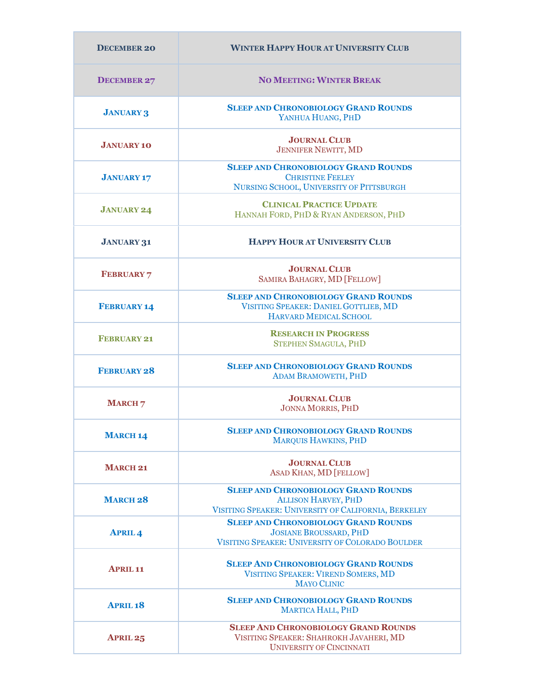| <b>DECEMBER 20</b> | <b>WINTER HAPPY HOUR AT UNIVERSITY CLUB</b>                                                                                       |
|--------------------|-----------------------------------------------------------------------------------------------------------------------------------|
| <b>DECEMBER 27</b> | <b>NO MEETING: WINTER BREAK</b>                                                                                                   |
| <b>JANUARY 3</b>   | <b>SLEEP AND CHRONOBIOLOGY GRAND ROUNDS</b><br>YANHUA HUANG, PHD                                                                  |
| <b>JANUARY 10</b>  | <b>JOURNAL CLUB</b><br><b>JENNIFER NEWITT, MD</b>                                                                                 |
| <b>JANUARY 17</b>  | <b>SLEEP AND CHRONOBIOLOGY GRAND ROUNDS</b><br><b>CHRISTINE FEELEY</b><br>NURSING SCHOOL, UNIVERSITY OF PITTSBURGH                |
| <b>JANUARY 24</b>  | <b>CLINICAL PRACTICE UPDATE</b><br>HANNAH FORD, PHD & RYAN ANDERSON, PHD                                                          |
| <b>JANUARY 31</b>  | <b>HAPPY HOUR AT UNIVERSITY CLUB</b>                                                                                              |
| <b>FEBRUARY 7</b>  | <b>JOURNAL CLUB</b><br>SAMIRA BAHAGRY, MD [FELLOW]                                                                                |
| <b>FEBRUARY 14</b> | <b>SLEEP AND CHRONOBIOLOGY GRAND ROUNDS</b><br>VISITING SPEAKER: DANIEL GOTTLIEB, MD<br>HARVARD MEDICAL SCHOOL                    |
| <b>FEBRUARY 21</b> | <b>RESEARCH IN PROGRESS</b><br><b>STEPHEN SMAGULA, PHD</b>                                                                        |
| <b>FEBRUARY 28</b> | <b>SLEEP AND CHRONOBIOLOGY GRAND ROUNDS</b><br><b>ADAM BRAMOWETH, PHD</b>                                                         |
| <b>MARCH 7</b>     | <b>JOURNAL CLUB</b><br><b>JONNA MORRIS, PHD</b>                                                                                   |
| <b>MARCH 14</b>    | <b>SLEEP AND CHRONOBIOLOGY GRAND ROUNDS</b><br><b>MARQUIS HAWKINS, PHD</b>                                                        |
| <b>MARCH 21</b>    | <b>JOURNAL CLUB</b><br><b>ASAD KHAN, MD [FELLOW]</b>                                                                              |
| <b>MARCH 28</b>    | <b>SLEEP AND CHRONOBIOLOGY GRAND ROUNDS</b><br><b>ALLISON HARVEY, PHD</b><br>VISITING SPEAKER: UNIVERSITY OF CALIFORNIA, BERKELEY |
| <b>APRIL4</b>      | <b>SLEEP AND CHRONOBIOLOGY GRAND ROUNDS</b><br><b>JOSIANE BROUSSARD, PHD</b><br>VISITING SPEAKER: UNIVERSITY OF COLORADO BOULDER  |
| <b>APRIL 11</b>    | <b>SLEEP AND CHRONOBIOLOGY GRAND ROUNDS</b><br>VISITING SPEAKER: VIREND SOMERS, MD<br><b>MAYO CLINIC</b>                          |
| <b>APRIL18</b>     | <b>SLEEP AND CHRONOBIOLOGY GRAND ROUNDS</b><br><b>MARTICA HALL, PHD</b>                                                           |
| <b>APRIL 25</b>    | <b>SLEEP AND CHRONOBIOLOGY GRAND ROUNDS</b><br>VISITING SPEAKER: SHAHROKH JAVAHERI, MD<br><b>UNIVERSITY OF CINCINNATI</b>         |